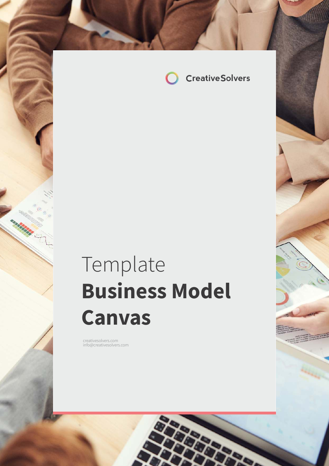

# Template **Business Model Canvas**

com in formal company of the company of the company of the company of the company of the company of the company of the company of the company of the company of the company of the company of the company of the company of th

creativesolvers.com info@creativesolvers.com

a birtir.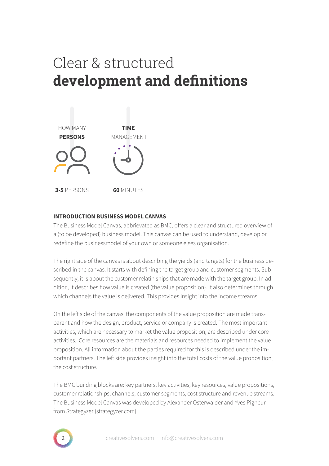# Clear & structured **development and definitions**



#### **INTRODUCTION BUSINESS MODEL CANVAS**

The Business Model Canvas, abbrievated as BMC, offers a clear and structured overview of a (to be developed) business model. This canvas can be used to understand, develop or redefine the businessmodel of your own or someone elses organisation.

The right side of the canvas is about describing the yields (and targets) for the business described in the canvas. It starts with defining the target group and customer segments. Subsequently, it is about the customer relatin ships that are made with the target group. In addition, it describes how value is created (the value proposition). It also determines through which channels the value is delivered. This provides insight into the income streams.

On the left side of the canvas, the components of the value proposition are made transparent and how the design, product, service or company is created. The most important activities, which are necessary to market the value proposition, are described under core activities. Core resources are the materials and resources needed to implement the value proposition. All information about the parties required for this is described under the important partners. The left side provides insight into the total costs of the value proposition, the cost structure.

The BMC building blocks are: key partners, key activities, key resources, value propositions, customer relationships, channels, customer segments, cost structure and revenue streams. The Business Model Canvas was developed by Alexander Osterwalder and Yves Pigneur from Strategyzer (strategyzer.com).

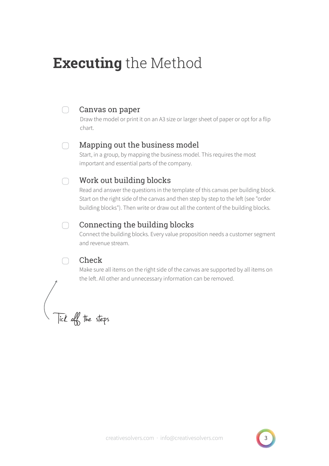## **Executing** the Method

### Canvas on paper

Draw the model or print it on an A3 size or larger sheet of paper or opt for a flip chart.

#### $\cap$

 $\Box$ 

### Mapping out the business model

Start, in a group, by mapping the business model. This requires the most important and essential parts of the company.

### ∩

### Work out building blocks

Read and answer the questions in the template of this canvas per building block. Start on the right side of the canvas and then step by step to the left (see "order building blocks"). Then write or draw out all the content of the building blocks.

#### Connecting the building blocks  $\Box$

Connect the building blocks. Every value proposition needs a customer segment and revenue stream.

### Check

Make sure all items on the right side of the canvas are supported by all items on the left. All other and unnecessary information can be removed.

Tick off the steps

 $\cap$ 

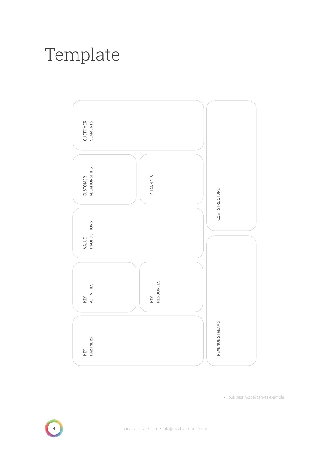# Template

• business model canvas example



creativesolvers.com · info@creativesolvers.com